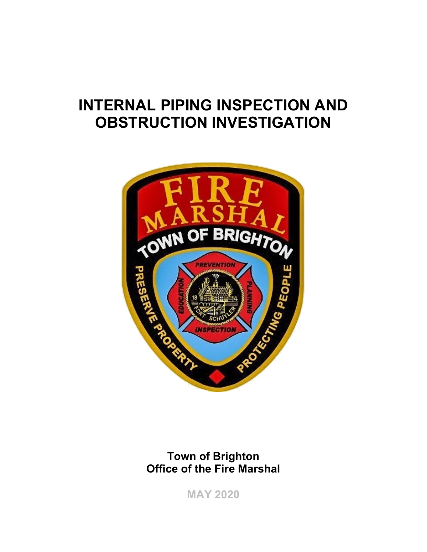# **INTERNAL PIPING INSPECTION AND OBSTRUCTION INVESTIGATION**



**Town of Brighton Office of the Fire Marshal** 

**MAY 2020**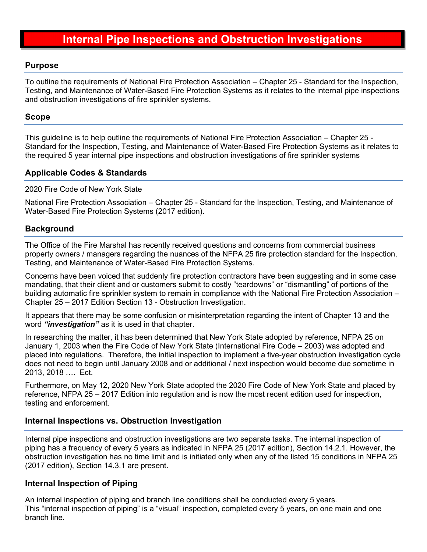# **Internal Pipe Inspections and Obstruction Investigations**

#### **Purpose**

To outline the requirements of National Fire Protection Association – Chapter 25 - Standard for the Inspection, Testing, and Maintenance of Water-Based Fire Protection Systems as it relates to the internal pipe inspections and obstruction investigations of fire sprinkler systems.

#### **Scope**

This guideline is to help outline the requirements of National Fire Protection Association – Chapter 25 - Standard for the Inspection, Testing, and Maintenance of Water-Based Fire Protection Systems as it relates to the required 5 year internal pipe inspections and obstruction investigations of fire sprinkler systems

# **Applicable Codes & Standards**

#### 2020 Fire Code of New York State

National Fire Protection Association – Chapter 25 - Standard for the Inspection, Testing, and Maintenance of Water-Based Fire Protection Systems (2017 edition).

#### **Background**

The Office of the Fire Marshal has recently received questions and concerns from commercial business property owners / managers regarding the nuances of the NFPA 25 fire protection standard for the Inspection, Testing, and Maintenance of Water-Based Fire Protection Systems.

Concerns have been voiced that suddenly fire protection contractors have been suggesting and in some case mandating, that their client and or customers submit to costly "teardowns" or "dismantling" of portions of the building automatic fire sprinkler system to remain in compliance with the National Fire Protection Association – Chapter 25 – 2017 Edition Section 13 - Obstruction Investigation.

It appears that there may be some confusion or misinterpretation regarding the intent of Chapter 13 and the word *"investigation"* as it is used in that chapter.

In researching the matter, it has been determined that New York State adopted by reference, NFPA 25 on January 1, 2003 when the Fire Code of New York State (International Fire Code – 2003) was adopted and placed into regulations. Therefore, the initial inspection to implement a five-year obstruction investigation cycle does not need to begin until January 2008 and or additional / next inspection would become due sometime in 2013, 2018 …. Ect.

Furthermore, on May 12, 2020 New York State adopted the 2020 Fire Code of New York State and placed by reference, NFPA 25 – 2017 Edition into regulation and is now the most recent edition used for inspection, testing and enforcement.

# **Internal Inspections vs. Obstruction Investigation**

Internal pipe inspections and obstruction investigations are two separate tasks. The internal inspection of piping has a frequency of every 5 years as indicated in NFPA 25 (2017 edition), Section 14.2.1. However, the obstruction investigation has no time limit and is initiated only when any of the listed 15 conditions in NFPA 25 (2017 edition), Section 14.3.1 are present.

# **Internal Inspection of Piping**

An internal inspection of piping and branch line conditions shall be conducted every 5 years. This "internal inspection of piping" is a "visual" inspection, completed every 5 years, on one main and one branch line.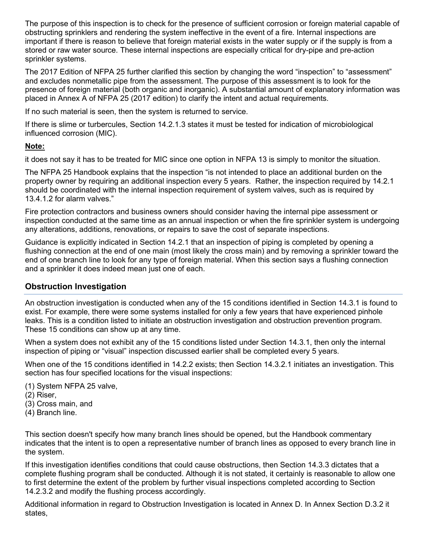The purpose of this inspection is to check for the presence of sufficient corrosion or foreign material capable of obstructing sprinklers and rendering the system ineffective in the event of a fire. Internal inspections are important if there is reason to believe that foreign material exists in the water supply or if the supply is from a stored or raw water source. These internal inspections are especially critical for dry-pipe and pre-action sprinkler systems.

The 2017 Edition of NFPA 25 further clarified this section by changing the word "inspection" to "assessment" and excludes nonmetallic pipe from the assessment. The purpose of this assessment is to look for the presence of foreign material (both organic and inorganic). A substantial amount of explanatory information was placed in Annex A of NFPA 25 (2017 edition) to clarify the intent and actual requirements.

If no such material is seen, then the system is returned to service.

If there is slime or turbercules, Section 14.2.1.3 states it must be tested for indication of microbiological influenced corrosion (MIC).

#### **Note:**

it does not say it has to be treated for MIC since one option in NFPA 13 is simply to monitor the situation.

The NFPA 25 Handbook explains that the inspection "is not intended to place an additional burden on the property owner by requiring an additional inspection every 5 years. Rather, the inspection required by 14.2.1 should be coordinated with the internal inspection requirement of system valves, such as is required by 13.4.1.2 for alarm valves."

Fire protection contractors and business owners should consider having the internal pipe assessment or inspection conducted at the same time as an annual inspection or when the fire sprinkler system is undergoing any alterations, additions, renovations, or repairs to save the cost of separate inspections.

Guidance is explicitly indicated in Section 14.2.1 that an inspection of piping is completed by opening a flushing connection at the end of one main (most likely the cross main) and by removing a sprinkler toward the end of one branch line to look for any type of foreign material. When this section says a flushing connection and a sprinkler it does indeed mean just one of each.

# **Obstruction Investigation**

An obstruction investigation is conducted when any of the 15 conditions identified in Section 14.3.1 is found to exist. For example, there were some systems installed for only a few years that have experienced pinhole leaks. This is a condition listed to initiate an obstruction investigation and obstruction prevention program. These 15 conditions can show up at any time.

When a system does not exhibit any of the 15 conditions listed under Section 14.3.1, then only the internal inspection of piping or "visual" inspection discussed earlier shall be completed every 5 years.

When one of the 15 conditions identified in 14.2.2 exists; then Section 14.3.2.1 initiates an investigation. This section has four specified locations for the visual inspections:

- (1) System NFPA 25 valve,
- (2) Riser,
- (3) Cross main, and
- (4) Branch line.

This section doesn't specify how many branch lines should be opened, but the Handbook commentary indicates that the intent is to open a representative number of branch lines as opposed to every branch line in the system.

If this investigation identifies conditions that could cause obstructions, then Section 14.3.3 dictates that a complete flushing program shall be conducted. Although it is not stated, it certainly is reasonable to allow one to first determine the extent of the problem by further visual inspections completed according to Section 14.2.3.2 and modify the flushing process accordingly.

Additional information in regard to Obstruction Investigation is located in Annex D. In Annex Section D.3.2 it states,